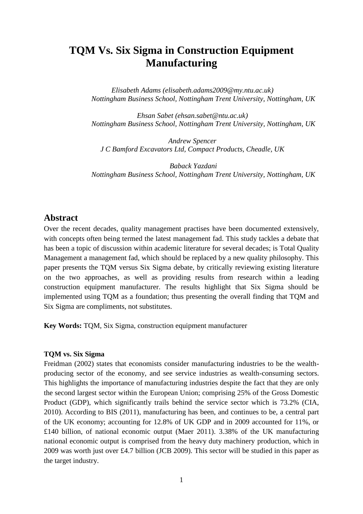# **TQM Vs. Six Sigma in Construction Equipment Manufacturing**

*Elisabeth Adams (elisabeth.adams2009@my.ntu.ac.uk) Nottingham Business School, Nottingham Trent University, Nottingham, UK*

*Ehsan Sabet (ehsan.sabet@ntu.ac.uk) Nottingham Business School, Nottingham Trent University, Nottingham, UK*

*Andrew Spencer J C Bamford Excavators Ltd, Compact Products, Cheadle, UK*

*Baback Yazdani Nottingham Business School, Nottingham Trent University, Nottingham, UK*

# **Abstract**

Over the recent decades, quality management practises have been documented extensively, with concepts often being termed the latest management fad. This study tackles a debate that has been a topic of discussion within academic literature for several decades; is Total Quality Management a management fad, which should be replaced by a new quality philosophy. This paper presents the TQM versus Six Sigma debate, by critically reviewing existing literature on the two approaches, as well as providing results from research within a leading construction equipment manufacturer. The results highlight that Six Sigma should be implemented using TQM as a foundation; thus presenting the overall finding that TQM and Six Sigma are compliments, not substitutes.

**Key Words:** TQM, Six Sigma, construction equipment manufacturer

### **TQM vs. Six Sigma**

Freidman (2002) states that economists consider manufacturing industries to be the wealthproducing sector of the economy, and see service industries as wealth-consuming sectors. This highlights the importance of manufacturing industries despite the fact that they are only the second largest sector within the European Union; comprising 25% of the Gross Domestic Product (GDP), which significantly trails behind the service sector which is 73.2% (CIA, 2010). According to BIS (2011), manufacturing has been, and continues to be, a central part of the UK economy; accounting for 12.8% of UK GDP and in 2009 accounted for 11%, or £140 billion, of national economic output (Maer 2011). 3.38% of the UK manufacturing national economic output is comprised from the heavy duty machinery production, which in 2009 was worth just over £4.7 billion (JCB 2009). This sector will be studied in this paper as the target industry.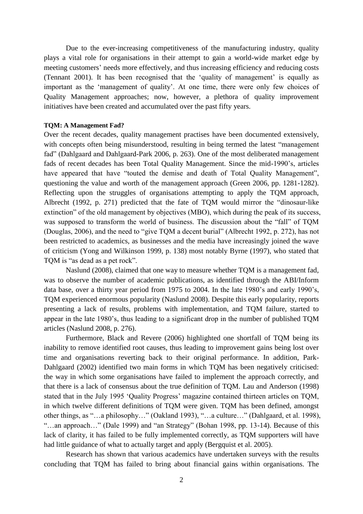Due to the ever-increasing competitiveness of the manufacturing industry, quality plays a vital role for organisations in their attempt to gain a world-wide market edge by meeting customers' needs more effectively, and thus increasing efficiency and reducing costs (Tennant 2001). It has been recognised that the 'quality of management' is equally as important as the 'management of quality'. At one time, there were only few choices of Quality Management approaches; now, however, a plethora of quality improvement initiatives have been created and accumulated over the past fifty years.

#### **TQM: A Management Fad?**

Over the recent decades, quality management practises have been documented extensively, with concepts often being misunderstood, resulting in being termed the latest "management" fad" (Dahlgaard and Dahlgaard-Park 2006, p. 263). One of the most deliberated management fads of recent decades has been Total Quality Management. Since the mid-1990's, articles have appeared that have "touted the demise and death of Total Quality Management", questioning the value and worth of the management approach (Green 2006, pp. 1281-1282). Reflecting upon the struggles of organisations attempting to apply the TQM approach, Albrecht (1992, p. 271) predicted that the fate of TQM would mirror the "dinosaur-like extinction" of the old management by objectives (MBO), which during the peak of its success, was supposed to transform the world of business. The discussion about the "fall" of TQM (Douglas, 2006), and the need to "give TQM a decent burial" (Albrecht 1992, p. 272), has not been restricted to academics, as businesses and the media have increasingly joined the wave of criticism (Yong and Wilkinson 1999, p. 138) most notably Byrne (1997), who stated that TQM is "as dead as a pet rock".

Naslund (2008), claimed that one way to measure whether TQM is a management fad, was to observe the number of academic publications, as identified through the ABI/Inform data base, over a thirty year period from 1975 to 2004. In the late 1980's and early 1990's, TQM experienced enormous popularity (Naslund 2008). Despite this early popularity, reports presenting a lack of results, problems with implementation, and TQM failure, started to appear in the late 1980's, thus leading to a significant drop in the number of published TQM articles (Naslund 2008, p. 276).

Furthermore, Black and Revere (2006) highlighted one shortfall of TQM being its inability to remove identified root causes, thus leading to improvement gains being lost over time and organisations reverting back to their original performance. In addition, Park-Dahlgaard (2002) identified two main forms in which TQM has been negatively criticised: the way in which some organisations have failed to implement the approach correctly, and that there is a lack of consensus about the true definition of TQM. Lau and Anderson (1998) stated that in the July 1995 'Quality Progress' magazine contained thirteen articles on TQM, in which twelve different definitions of TQM were given. TQM has been defined, amongst other things, as "…a philosophy…" (Oakland 1993), "…a culture…" (Dahlgaard, et al. 1998), "…an approach…" (Dale 1999) and "an Strategy" (Bohan 1998, pp. 13-14). Because of this lack of clarity, it has failed to be fully implemented correctly, as TQM supporters will have had little guidance of what to actually target and apply (Bergquist et al. 2005).

Research has shown that various academics have undertaken surveys with the results concluding that TQM has failed to bring about financial gains within organisations. The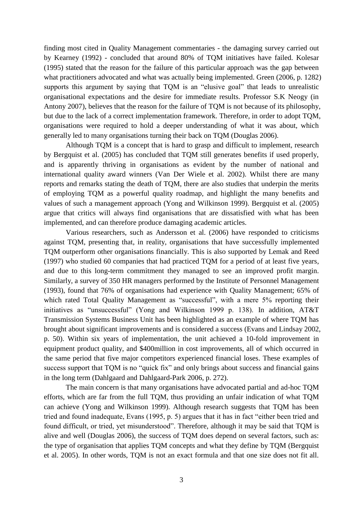finding most cited in Quality Management commentaries - the damaging survey carried out by Kearney (1992) - concluded that around 80% of TQM initiatives have failed. Kolesar (1995) stated that the reason for the failure of this particular approach was the gap between what practitioners advocated and what was actually being implemented. Green (2006, p. 1282) supports this argument by saying that TQM is an "elusive goal" that leads to unrealistic organisational expectations and the desire for immediate results. Professor S.K Neogy (in Antony 2007), believes that the reason for the failure of TQM is not because of its philosophy, but due to the lack of a correct implementation framework. Therefore, in order to adopt TQM, organisations were required to hold a deeper understanding of what it was about, which generally led to many organisations turning their back on TQM (Douglas 2006).

Although TQM is a concept that is hard to grasp and difficult to implement, research by Bergquist et al. (2005) has concluded that TQM still generates benefits if used properly, and is apparently thriving in organisations as evident by the number of national and international quality award winners (Van Der Wiele et al. 2002). Whilst there are many reports and remarks stating the death of TQM, there are also studies that underpin the merits of employing TQM as a powerful quality roadmap, and highlight the many benefits and values of such a management approach (Yong and Wilkinson 1999). Bergquist et al. (2005) argue that critics will always find organisations that are dissatisfied with what has been implemented, and can therefore produce damaging academic articles.

Various researchers, such as Andersson et al. (2006) have responded to criticisms against TQM, presenting that, in reality, organisations that have successfully implemented TQM outperform other organisations financially. This is also supported by Lemak and Reed (1997) who studied 60 companies that had practiced TQM for a period of at least five years, and due to this long-term commitment they managed to see an improved profit margin. Similarly, a survey of 350 HR managers performed by the Institute of Personnel Management (1993), found that 76% of organisations had experience with Quality Management; 65% of which rated Total Quality Management as "successful", with a mere 5% reporting their initiatives as "unsuccessful" (Yong and Wilkinson 1999 p. 138). In addition, AT&T Transmission Systems Business Unit has been highlighted as an example of where TQM has brought about significant improvements and is considered a success (Evans and Lindsay 2002, p. 50). Within six years of implementation, the unit achieved a 10-fold improvement in equipment product quality, and \$400million in cost improvements, all of which occurred in the same period that five major competitors experienced financial loses. These examples of success support that TQM is no "quick fix" and only brings about success and financial gains in the long term (Dahlgaard and Dahlgaard-Park 2006, p. 272).

The main concern is that many organisations have advocated partial and ad-hoc TQM efforts, which are far from the full TQM, thus providing an unfair indication of what TQM can achieve (Yong and Wilkinson 1999). Although research suggests that TQM has been tried and found inadequate, Evans (1995, p. 5) argues that it has in fact "either been tried and found difficult, or tried, yet misunderstood". Therefore, although it may be said that TQM is alive and well (Douglas 2006), the success of TQM does depend on several factors, such as: the type of organisation that applies TQM concepts and what they define by TQM (Bergquist et al. 2005). In other words, TQM is not an exact formula and that one size does not fit all.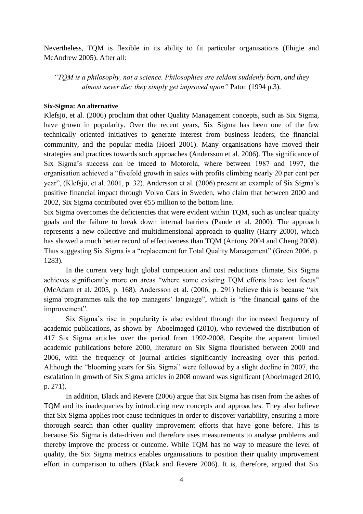Nevertheless, TQM is flexible in its ability to fit particular organisations (Ehigie and McAndrew 2005). After all:

*"TQM is a philosophy, not a science. Philosophies are seldom suddenly born, and they almost never die; they simply get improved upon"* Paton (1994 p.3).

## **Six-Sigma: An alternative**

Klefsjö, et al. (2006) proclaim that other Quality Management concepts, such as Six Sigma, have grown in popularity. Over the recent years, Six Sigma has been one of the few technically oriented initiatives to generate interest from business leaders, the financial community, and the popular media (Hoerl 2001). Many organisations have moved their strategies and practices towards such approaches (Andersson et al. 2006). The significance of Six Sigma's success can be traced to Motorola, where between 1987 and 1997, the organisation achieved a "fivefold growth in sales with profits climbing nearly 20 per cent per year", (Klefsjö, et al. 2001, p. 32). Andersson et al. (2006) present an example of Six Sigma's positive financial impact through Volvo Cars in Sweden, who claim that between 2000 and 2002, Six Sigma contributed over  $\epsilon$ 55 million to the bottom line.

Six Sigma overcomes the deficiencies that were evident within TQM, such as unclear quality goals and the failure to break down internal barriers (Pande et al. 2000). The approach represents a new collective and multidimensional approach to quality (Harry 2000), which has showed a much better record of effectiveness than TQM (Antony 2004 and Cheng 2008). Thus suggesting Six Sigma is a "replacement for Total Quality Management" (Green 2006, p. 1283).

In the current very high global competition and cost reductions climate, Six Sigma achieves significantly more on areas "where some existing TQM efforts have lost focus" (McAdam et al. 2005, p. 168). Andersson et al. (2006, p. 291) believe this is because "six sigma programmes talk the top managers' language", which is "the financial gains of the improvement".

Six Sigma's rise in popularity is also evident through the increased frequency of academic publications, as shown by Aboelmaged (2010), who reviewed the distribution of 417 Six Sigma articles over the period from 1992-2008. Despite the apparent limited academic publications before 2000, literature on Six Sigma flourished between 2000 and 2006, with the frequency of journal articles significantly increasing over this period. Although the "blooming years for Six Sigma" were followed by a slight decline in 2007, the escalation in growth of Six Sigma articles in 2008 onward was significant (Aboelmaged 2010, p. 271).

In addition, Black and Revere (2006) argue that Six Sigma has risen from the ashes of TQM and its inadequacies by introducing new concepts and approaches. They also believe that Six Sigma applies root-cause techniques in order to discover variability, ensuring a more thorough search than other quality improvement efforts that have gone before. This is because Six Sigma is data-driven and therefore uses measurements to analyse problems and thereby improve the process or outcome. While TQM has no way to measure the level of quality, the Six Sigma metrics enables organisations to position their quality improvement effort in comparison to others (Black and Revere 2006). It is, therefore, argued that Six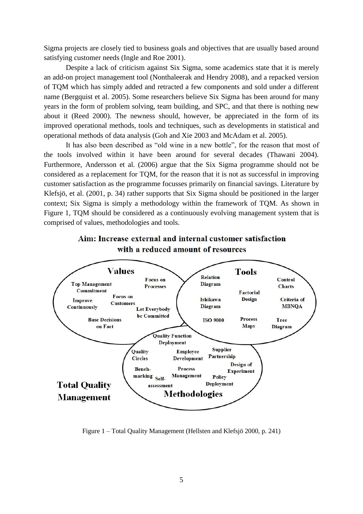Sigma projects are closely tied to business goals and objectives that are usually based around satisfying customer needs (Ingle and Roe 2001).

Despite a lack of criticism against Six Sigma, some academics state that it is merely an add-on project management tool (Nonthaleerak and Hendry 2008), and a repacked version of TQM which has simply added and retracted a few components and sold under a different name (Bergquist et al. 2005). Some researchers believe Six Sigma has been around for many years in the form of problem solving, team building, and SPC, and that there is nothing new about it (Reed 2000). The newness should, however, be appreciated in the form of its improved operational methods, tools and techniques, such as developments in statistical and operational methods of data analysis (Goh and Xie 2003 and McAdam et al. 2005).

It has also been described as "old wine in a new bottle", for the reason that most of the tools involved within it have been around for several decades (Thawani 2004). Furthermore, Andersson et al. (2006) argue that the Six Sigma programme should not be considered as a replacement for TQM, for the reason that it is not as successful in improving customer satisfaction as the programme focusses primarily on financial savings. Literature by Klefsjö, et al. (2001, p. 34) rather supports that Six Sigma should be positioned in the larger context; Six Sigma is simply a methodology within the framework of TQM. As shown in Figure 1, TQM should be considered as a continuously evolving management system that is comprised of values, methodologies and tools.





Figure 1 – Total Quality Management (Hellsten and Klefsjö 2000, p. 241)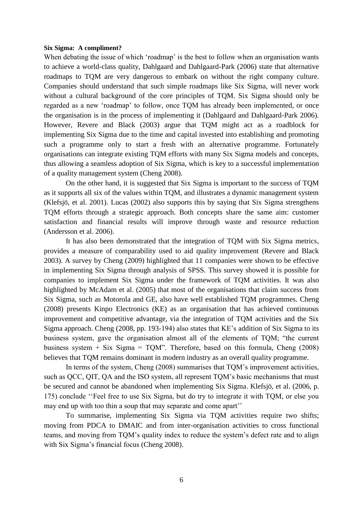#### **Six Sigma: A compliment?**

When debating the issue of which 'roadmap' is the best to follow when an organisation wants to achieve a world-class quality, Dahlgaard and Dahlgaard-Park (2006) state that alternative roadmaps to TQM are very dangerous to embark on without the right company culture. Companies should understand that such simple roadmaps like Six Sigma, will never work without a cultural background of the core principles of TQM. Six Sigma should only be regarded as a new 'roadmap' to follow, once TQM has already been implemented, or once the organisation is in the process of implementing it (Dahlgaard and Dahlgaard-Park 2006). However, Revere and Black (2003) argue that TQM might act as a roadblock for implementing Six Sigma due to the time and capital invested into establishing and promoting such a programme only to start a fresh with an alternative programme. Fortunately organisations can integrate existing TQM efforts with many Six Sigma models and concepts, thus allowing a seamless adoption of Six Sigma, which is key to a successful implementation of a quality management system (Cheng 2008).

On the other hand, it is suggested that Six Sigma is important to the success of TQM as it supports all six of the values within TQM, and illustrates a dynamic management system (Klefsjö, et al. 2001). Lucas (2002) also supports this by saying that Six Sigma strengthens TQM efforts through a strategic approach. Both concepts share the same aim: customer satisfaction and financial results will improve through waste and resource reduction (Andersson et al. 2006).

It has also been demonstrated that the integration of TQM with Six Sigma metrics, provides a measure of comparability used to aid quality improvement (Revere and Black 2003). A survey by Cheng (2009) highlighted that 11 companies were shown to be effective in implementing Six Sigma through analysis of SPSS. This survey showed it is possible for companies to implement Six Sigma under the framework of TQM activities. It was also highlighted by McAdam et al. (2005) that most of the organisations that claim success from Six Sigma, such as Motorola and GE, also have well established TQM programmes. Cheng (2008) presents Kinpo Electronics (KE) as an organisation that has achieved continuous improvement and competitive advantage, via the integration of TQM activities and the Six Sigma approach. Cheng (2008, pp. 193-194) also states that KE's addition of Six Sigma to its business system, gave the organisation almost all of the elements of TQM; "the current business system  $+$  Six Sigma  $=$  TQM". Therefore, based on this formula, Cheng (2008) believes that TQM remains dominant in modern industry as an overall quality programme.

In terms of the system, Cheng (2008) summarises that TQM's improvement activities, such as QCC, QIT, QA and the ISO system, all represent TQM's basic mechanisms that must be secured and cannot be abandoned when implementing Six Sigma. Klefsjö, et al. (2006, p. 175) conclude ''Feel free to use Six Sigma, but do try to integrate it with TQM, or else you may end up with too thin a soup that may separate and come apart''

To summarise, implementing Six Sigma via TQM activities require two shifts; moving from PDCA to DMAIC and from inter-organisation activities to cross functional teams, and moving from TQM's quality index to reduce the system's defect rate and to align with Six Sigma's financial focus (Cheng 2008).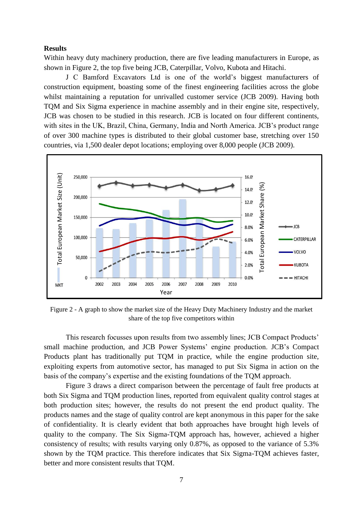#### **Results**

Within heavy duty machinery production, there are five leading manufacturers in Europe, as shown in Figure 2, the top five being JCB, Caterpillar, Volvo, Kubota and Hitachi.

J C Bamford Excavators Ltd is one of the world's biggest manufacturers of construction equipment, boasting some of the finest engineering facilities across the globe whilst maintaining a reputation for unrivalled customer service (JCB 2009). Having both TQM and Six Sigma experience in machine assembly and in their engine site, respectively, JCB was chosen to be studied in this research. JCB is located on four different continents, with sites in the UK, Brazil, China, Germany, India and North America. JCB's product range of over 300 machine types is distributed to their global customer base, stretching over 150 countries, via 1,500 dealer depot locations; employing over 8,000 people (JCB 2009).



Figure 2 - A graph to show the market size of the Heavy Duty Machinery Industry and the market share of the top five competitors within

This research focusses upon results from two assembly lines; JCB Compact Products' small machine production, and JCB Power Systems' engine production. JCB's Compact Products plant has traditionally put TQM in practice, while the engine production site, exploiting experts from automotive sector, has managed to put Six Sigma in action on the basis of the company's expertise and the existing foundations of the TQM approach.

Figure 3 draws a direct comparison between the percentage of fault free products at both Six Sigma and TQM production lines, reported from equivalent quality control stages at both production sites; however, the results do not present the end product quality. The products names and the stage of quality control are kept anonymous in this paper for the sake of confidentiality. It is clearly evident that both approaches have brought high levels of quality to the company. The Six Sigma-TQM approach has, however, achieved a higher consistency of results; with results varying only 0.87%, as opposed to the variance of 5.3% shown by the TQM practice. This therefore indicates that Six Sigma-TQM achieves faster,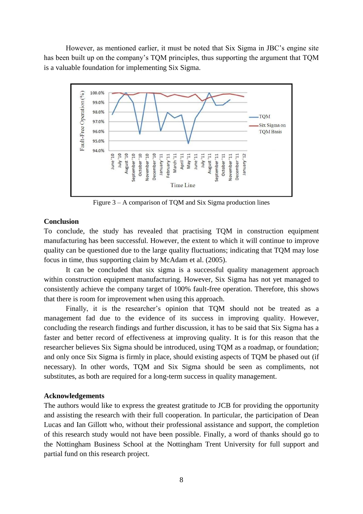However, as mentioned earlier, it must be noted that Six Sigma in JBC's engine site has been built up on the company's TQM principles, thus supporting the argument that TQM is a valuable foundation for implementing Six Sigma.



Figure 3 – A comparison of TQM and Six Sigma production lines

#### **Conclusion**

To conclude, the study has revealed that practising TQM in construction equipment manufacturing has been successful. However, the extent to which it will continue to improve quality can be questioned due to the large quality fluctuations; indicating that TQM may lose focus in time, thus supporting claim by McAdam et al. (2005).

It can be concluded that six sigma is a successful quality management approach within construction equipment manufacturing. However, Six Sigma has not yet managed to consistently achieve the company target of 100% fault-free operation. Therefore, this shows that there is room for improvement when using this approach.

Finally, it is the researcher's opinion that TQM should not be treated as a management fad due to the evidence of its success in improving quality. However, concluding the research findings and further discussion, it has to be said that Six Sigma has a faster and better record of effectiveness at improving quality. It is for this reason that the researcher believes Six Sigma should be introduced, using TQM as a roadmap, or foundation; and only once Six Sigma is firmly in place, should existing aspects of TQM be phased out (if necessary). In other words, TQM and Six Sigma should be seen as compliments, not substitutes, as both are required for a long-term success in quality management.

#### **Acknowledgements**

The authors would like to express the greatest gratitude to JCB for providing the opportunity and assisting the research with their full cooperation. In particular, the participation of Dean Lucas and Ian Gillott who, without their professional assistance and support, the completion of this research study would not have been possible. Finally, a word of thanks should go to the Nottingham Business School at the Nottingham Trent University for full support and partial fund on this research project.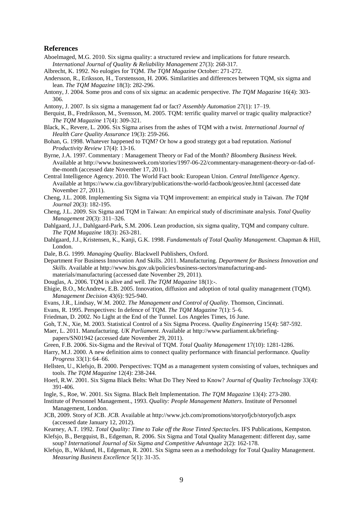#### **References**

- Aboelmaged, M.G. 2010. Six sigma quality: a structured review and implications for future research. *International Journal of Quality & Reliability Management* 27(3): 268-317.
- Albrecht, K. 1992. No eulogies for TQM. *The TQM Magazine* October: 271-272.
- Andersson, R., Eriksson, H., Torstensson, H. 2006. Similarities and differences between TQM, six sigma and lean. *The TQM Magazine* 18(3): 282-296.
- Antony, J. 2004. Some pros and cons of six sigma: an academic perspective. *The TQM Magazine* 16(4): 303- 306.
- Antony, J. 2007. Is six sigma a management fad or fact? *Assembly Automation* 27(1): 17–19.
- Berquist, B., Fredriksson, M., Svensson, M. 2005. TQM: terrific quality marvel or tragic quality malpractice? *The TQM Magazine* 17(4): 309-321.
- Black, K., Revere, L. 2006. Six Sigma arises from the ashes of TQM with a twist. *International Journal of Health Care Quality Assurance* 19(3): 259-266.
- Bohan, G. 1998. Whatever happened to TQM? Or how a good strategy got a bad reputation. *National Productivity Review* 17(4): 13-16.
- Byrne, J.A. 1997. Commentary : Management Theory or Fad of the Month? *Bloomberg Business Week.* Available at http://www.businessweek.com/stories/1997-06-22/commentary-management-theory-or-fad-ofthe-month (accessed date November 17, 2011).
- Central Intelligence Agency. 2010. The World Fact book: European Union. *Central Intelligence Agency*. Available at https://www.cia.gov/library/publications/the-world-factbook/geos/ee.html (accessed date November 27, 2011).
- Cheng, J.L. 2008. Implementing Six Sigma via TQM improvement: an empirical study in Taiwan. *The TQM Journal* 20(3): 182-195.
- Cheng, J.L. 2009. Six Sigma and TQM in Taiwan: An empirical study of discriminate analysis. *Total Quality Management* 20(3): 311–326.
- Dahlgaard, J.J., Dahlgaard-Park, S.M. 2006. Lean production, six sigma quality, TQM and company culture. *The TQM Magazine* 18(3): 263-281.
- Dahlgaard, J.J., Kristensen, K., Kanji, G.K. 1998. *Fundamentals of Total Quality Management*. Chapman & Hill, London.
- Dale, B.G. 1999. *Managing Quality*. Blackwell Publishers, Oxford.

Department For Business Innovation And Skills. 2011. Manufacturing. *Department for Business Innovation and Skills*. Available at http://www.bis.gov.uk/policies/business-sectors/manufacturing-andmaterials/manufacturing (accessed date November 29, 2011).

- Douglas, A. 2006. TQM is alive and well. *The TQM Magazine* 18(1):-.
- Ehigie, B.O., McAndrew, E.B. 2005. Innovation, diffusion and adoption of total quality management (TQM). *Management Decision* 43(6): 925-940.
- Evans, J.R., Lindsay, W.M. 2002. *The Management and Control of Quality*. Thomson, Cincinnati.
- Evans, R. 1995. Perspectives: In defence of TQM. *The TQM Magazine* 7(1): 5–6.
- Friedman, D. 2002. No Light at the End of the Tunnel. Los Angeles Times, 16 June.
- Goh, T.N., Xie, M. 2003. Statistical Control of a Six Sigma Process. *Quality Engineering* 15(4): 587-592.
- Maer, L. 2011. Manufacturing. *UK Parliament*. Available at http://www.parliament.uk/briefingpapers/SN01942 (accessed date November 29, 2011).
- Green, F.B. 2006. Six-Sigma and the Revival of TQM. *Total Quality Management* 17(10): 1281-1286.
- Harry, M.J. 2000. A new definition aims to connect quality performance with financial performance. *Quality Progress* 33(1): 64–66.
- Hellsten, U., Klefsjo, B. 2000. Perspectives: TQM as a management system consisting of values, techniques and tools. *The TQM Magazine* 12(4): 238-244.
- Hoerl, R.W. 2001. Six Sigma Black Belts: What Do They Need to Know? *Journal of Quality Technology* 33(4): 391-406.
- Ingle, S., Roe, W. 2001. Six Sigma. Black Belt Implementation. *The TQM Magazine* 13(4): 273-280.
- Institute of Personnel Management., 1993. *Quality: People Management Matters*. Institute of Personnel Management, London.
- JCB, 2009. Story of JCB. *JCB*. Available at http://www.jcb.com/promotions/storyofjcb/storyofjcb.aspx (accessed date January 12, 2012).

Kearney, A.T. 1992. *Total Quality: Time to Take off the Rose Tinted Spectacles*. IFS Publications, Kempston.

- Klefsjo, B., Bergquist, B., Edgeman, R. 2006. Six Sigma and Total Quality Management: different day, same soup? *International Journal of Six Sigma and Competitive Advantage* 2(2): 162-178.
- Klefsjo, B., Wiklund, H., Edgeman, R. 2001. Six Sigma seen as a methodology for Total Quality Management. *Measuring Business Excellence* 5(1): 31-35.